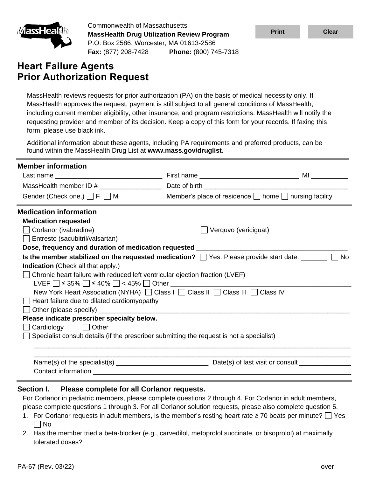

Commonwealth of Massachusetts **MassHealth Drug Utilization Review Program** P.O. Box 2586, Worcester, MA 01613-2586 **Fax:** (877) 208-7428 **Phone:** (800) 745-7318

## **Heart Failure Agents Prior Authorization Request**

| <u>imassHealun</u>                                                     | <b>MassHealth Drug Utilization Review Program</b>                                    |                                                                                                                                                                                                                                                                                                                                                                                                                                                                | <b>Print</b> | <b>Clear</b> |
|------------------------------------------------------------------------|--------------------------------------------------------------------------------------|----------------------------------------------------------------------------------------------------------------------------------------------------------------------------------------------------------------------------------------------------------------------------------------------------------------------------------------------------------------------------------------------------------------------------------------------------------------|--------------|--------------|
|                                                                        | P.O. Box 2586, Worcester, MA 01613-2586<br>Fax: (877) 208-7428 Phone: (800) 745-7318 |                                                                                                                                                                                                                                                                                                                                                                                                                                                                |              |              |
| <b>Heart Failure Agents</b>                                            | <b>Prior Authorization Request</b>                                                   |                                                                                                                                                                                                                                                                                                                                                                                                                                                                |              |              |
| form, please use black ink.                                            |                                                                                      | MassHealth reviews requests for prior authorization (PA) on the basis of medical necessity only. If<br>MassHealth approves the request, payment is still subject to all general conditions of MassHealth,<br>including current member eligibility, other insurance, and program restrictions. MassHealth will notify the<br>requesting provider and member of its decision. Keep a copy of this form for your records. If faxing this                          |              |              |
|                                                                        | found within the MassHealth Drug List at www.mass.gov/druglist.                      | Additional information about these agents, including PA requirements and preferred products, can be                                                                                                                                                                                                                                                                                                                                                            |              |              |
| <b>Member information</b>                                              |                                                                                      |                                                                                                                                                                                                                                                                                                                                                                                                                                                                |              |              |
|                                                                        |                                                                                      |                                                                                                                                                                                                                                                                                                                                                                                                                                                                |              |              |
|                                                                        |                                                                                      |                                                                                                                                                                                                                                                                                                                                                                                                                                                                |              |              |
|                                                                        | Gender (Check one.) $\Box$ F $\Box$ M                                                | Member's place of residence $\Box$ home $\Box$ nursing facility                                                                                                                                                                                                                                                                                                                                                                                                |              |              |
| <b>Medication information</b><br><b>Medication requested</b>           |                                                                                      |                                                                                                                                                                                                                                                                                                                                                                                                                                                                |              |              |
| $\Box$ Corlanor (ivabradine)<br>$\Box$ Entresto (sacubitril/valsartan) |                                                                                      | $\Box$ Verquvo (vericiguat)                                                                                                                                                                                                                                                                                                                                                                                                                                    |              |              |
|                                                                        | Dose, frequency and duration of medication requested __________                      |                                                                                                                                                                                                                                                                                                                                                                                                                                                                |              |              |
|                                                                        |                                                                                      | Is the member stabilized on the requested medication? $\Box$ Yes. Please provide start date. _______                                                                                                                                                                                                                                                                                                                                                           |              | $\Box$ No    |
| <b>Indication</b> (Check all that apply.)                              |                                                                                      |                                                                                                                                                                                                                                                                                                                                                                                                                                                                |              |              |
|                                                                        | Chronic heart failure with reduced left ventricular ejection fraction (LVEF)         |                                                                                                                                                                                                                                                                                                                                                                                                                                                                |              |              |
|                                                                        | LVEF $\Box$ ≤ 35% $\Box$ ≤ 40% $\Box$ < 45% $\Box$ Other $\Box$                      | New York Heart Association (NYHA) □ Class I □ Class II □ Class III □ Class IV                                                                                                                                                                                                                                                                                                                                                                                  |              |              |
|                                                                        | $\Box$ Heart failure due to dilated cardiomyopathy                                   |                                                                                                                                                                                                                                                                                                                                                                                                                                                                |              |              |
| Other (please specify) __                                              |                                                                                      |                                                                                                                                                                                                                                                                                                                                                                                                                                                                |              |              |
|                                                                        | Please indicate prescriber specialty below.                                          |                                                                                                                                                                                                                                                                                                                                                                                                                                                                |              |              |
| Cardiology                                                             | $\Box$ Other                                                                         |                                                                                                                                                                                                                                                                                                                                                                                                                                                                |              |              |
|                                                                        |                                                                                      | Specialist consult details (if the prescriber submitting the request is not a specialist)                                                                                                                                                                                                                                                                                                                                                                      |              |              |
|                                                                        |                                                                                      |                                                                                                                                                                                                                                                                                                                                                                                                                                                                |              |              |
|                                                                        |                                                                                      |                                                                                                                                                                                                                                                                                                                                                                                                                                                                |              |              |
|                                                                        |                                                                                      |                                                                                                                                                                                                                                                                                                                                                                                                                                                                |              |              |
| Section I.<br>No<br>tolerated doses?                                   | Please complete for all Corlanor requests.                                           | For Corlanor in pediatric members, please complete questions 2 through 4. For Corlanor in adult members,<br>please complete questions 1 through 3. For all Corlanor solution requests, please also complete question 5.<br>1. For Corlanor requests in adult members, is the member's resting heart rate $\geq$ 70 beats per minute? $\Box$ Yes<br>2. Has the member tried a beta-blocker (e.g., carvedilol, metoprolol succinate, or bisoprolol) at maximally |              |              |
| PA-67 (Rev. 03/22)                                                     |                                                                                      |                                                                                                                                                                                                                                                                                                                                                                                                                                                                |              | over         |

- 1. For Corlanor requests in adult members, is the member's resting heart rate ≥ 70 beats per minute?  $\Box$  Yes  $\Box$  No
- 2. Has the member tried a beta-blocker (e.g., carvedilol, metoprolol succinate, or bisoprolol) at maximally tolerated doses?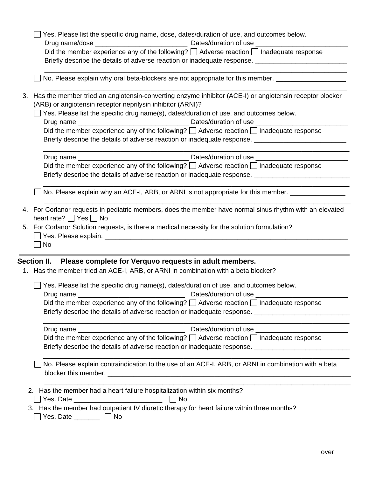|    | Yes. Please list the specific drug name, dose, dates/duration of use, and outcomes below.                                                                             |
|----|-----------------------------------------------------------------------------------------------------------------------------------------------------------------------|
|    |                                                                                                                                                                       |
|    | Did the member experience any of the following? $\Box$ Adverse reaction $\Box$ Inadequate response                                                                    |
|    | Briefly describe the details of adverse reaction or inadequate response. __________________________                                                                   |
|    | No. Please explain why oral beta-blockers are not appropriate for this member. ____________________                                                                   |
| 3. | Has the member tried an angiotensin-converting enzyme inhibitor (ACE-I) or angiotensin receptor blocker<br>(ARB) or angiotensin receptor neprilysin inhibitor (ARNI)? |
|    | Yes. Please list the specific drug name(s), dates/duration of use, and outcomes below.                                                                                |
|    |                                                                                                                                                                       |
|    | Did the member experience any of the following? $\Box$ Adverse reaction $\Box$ Inadequate response                                                                    |
|    | Briefly describe the details of adverse reaction or inadequate response. __________________________                                                                   |
|    |                                                                                                                                                                       |
|    | Did the member experience any of the following? $\Box$ Adverse reaction $\Box$ Inadequate response                                                                    |
|    | Briefly describe the details of adverse reaction or inadequate response. ___________________________                                                                  |
|    |                                                                                                                                                                       |
|    | No. Please explain why an ACE-I, ARB, or ARNI is not appropriate for this member. ________________                                                                    |
|    | 4. For Corlanor requests in pediatric members, does the member have normal sinus rhythm with an elevated<br>heart rate? $\Box$ Yes $\Box$ No                          |
|    | 5. For Corlanor Solution requests, is there a medical necessity for the solution formulation?                                                                         |
|    |                                                                                                                                                                       |
|    | $\blacksquare$ No                                                                                                                                                     |
|    |                                                                                                                                                                       |
|    | Section II. Please complete for Verquvo requests in adult members.                                                                                                    |
|    | 1. Has the member tried an ACE-I, ARB, or ARNI in combination with a beta blocker?                                                                                    |
|    | Yes. Please list the specific drug name(s), dates/duration of use, and outcomes below.                                                                                |
|    |                                                                                                                                                                       |
|    | Did the member experience any of the following? $\Box$ Adverse reaction $\Box$ Inadequate response                                                                    |
|    | Briefly describe the details of adverse reaction or inadequate response. __________________________                                                                   |
|    |                                                                                                                                                                       |
|    | Did the member experience any of the following? $\Box$ Adverse reaction $\Box$ Inadequate response                                                                    |
|    | Briefly describe the details of adverse reaction or inadequate response. __________________________                                                                   |
|    |                                                                                                                                                                       |
|    | No. Please explain contraindication to the use of an ACE-I, ARB, or ARNI in combination with a beta                                                                   |
|    | 2. Has the member had a heart failure hospitalization within six months?                                                                                              |
|    |                                                                                                                                                                       |
|    | 3. Has the member had outpatient IV diuretic therapy for heart failure within three months?                                                                           |
|    | Yes. Date $\_\_\_\_\_\_\_\_\_\_\_\_\_\_\_\_\_\_\_$                                                                                                                    |
|    |                                                                                                                                                                       |